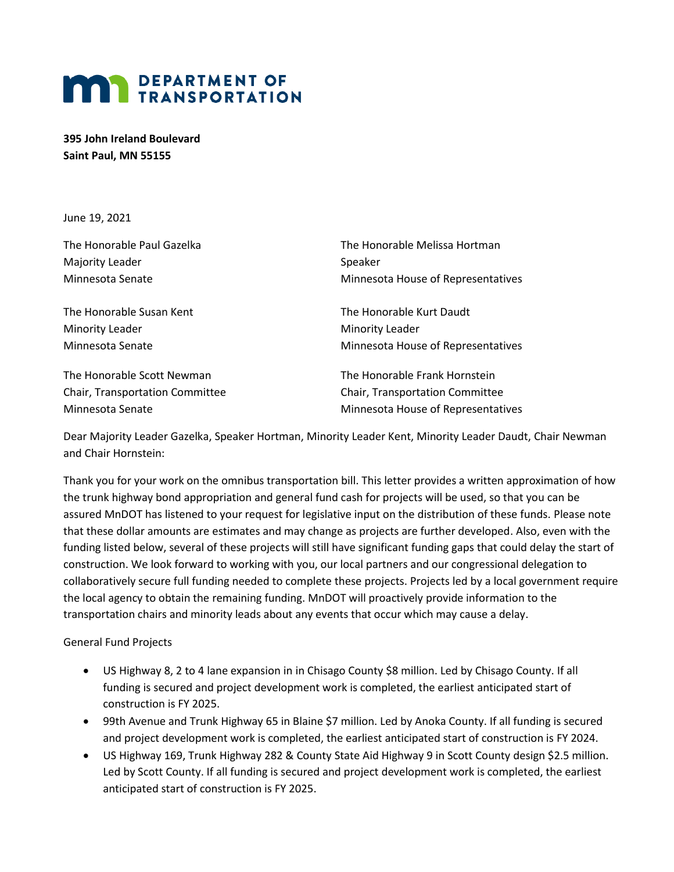## **MAN DEPARTMENT OF TRANSPORTATION**

**395 John Ireland Boulevard Saint Paul, MN 55155**

June 19, 2021

| The Honorable Paul Gazelka       | The Honorable Melissa Hortman      |
|----------------------------------|------------------------------------|
| Majority Leader                  | Speaker                            |
| Minnesota Senate                 | Minnesota House of Representatives |
| The Honorable Susan Kent         | The Honorable Kurt Daudt           |
| <b>Minority Leader</b>           | <b>Minority Leader</b>             |
| Minnesota Senate                 | Minnesota House of Representatives |
| The Honorable Scott Newman       | The Honorable Frank Hornstein      |
| Chain Thomas chatten Concertibus | Chain Thomas chiefich Conseilleac  |

Chair, Transportation Committee Chair, Transportation Committee

Minnesota Senate Minnesota House of Representatives

Dear Majority Leader Gazelka, Speaker Hortman, Minority Leader Kent, Minority Leader Daudt, Chair Newman and Chair Hornstein:

Thank you for your work on the omnibus transportation bill. This letter provides a written approximation of how the trunk highway bond appropriation and general fund cash for projects will be used, so that you can be assured MnDOT has listened to your request for legislative input on the distribution of these funds. Please note that these dollar amounts are estimates and may change as projects are further developed. Also, even with the funding listed below, several of these projects will still have significant funding gaps that could delay the start of construction. We look forward to working with you, our local partners and our congressional delegation to collaboratively secure full funding needed to complete these projects. Projects led by a local government require the local agency to obtain the remaining funding. MnDOT will proactively provide information to the transportation chairs and minority leads about any events that occur which may cause a delay.

General Fund Projects

- US Highway 8, 2 to 4 lane expansion in in Chisago County \$8 million. Led by Chisago County. If all funding is secured and project development work is completed, the earliest anticipated start of construction is FY 2025.
- 99th Avenue and Trunk Highway 65 in Blaine \$7 million. Led by Anoka County. If all funding is secured and project development work is completed, the earliest anticipated start of construction is FY 2024.
- US Highway 169, Trunk Highway 282 & County State Aid Highway 9 in Scott County design \$2.5 million. Led by Scott County. If all funding is secured and project development work is completed, the earliest anticipated start of construction is FY 2025.